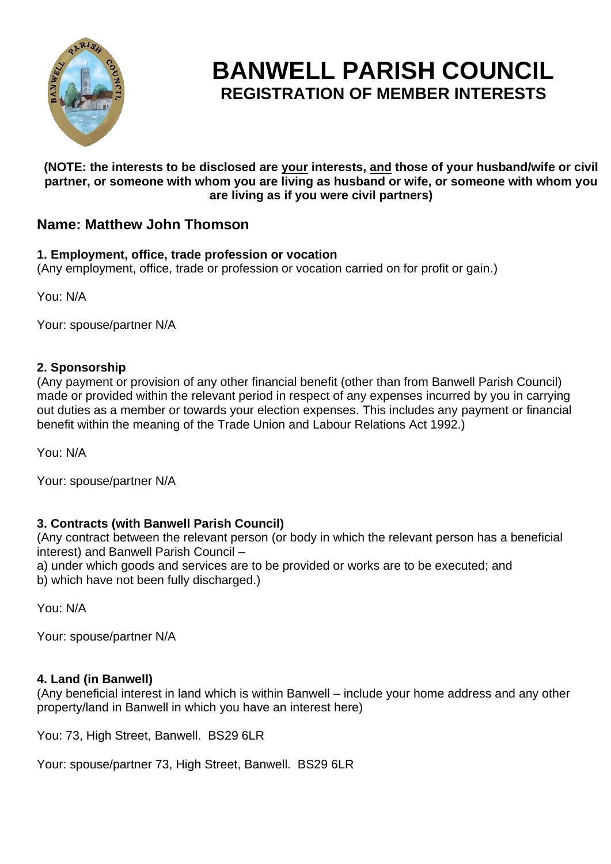

# **BANWELL PARISH COUNCIL REGISTRATION OF MEMBER INTERESTS**

#### **(NOTE: the interests to be disclosed are your interests, and those of your husband/wife or civil partner, or someone with whom you are living as husband or wife, or someone with whom you are living as if you were civil partners)**

# **Name: Matthew John Thomson**

## **1. Employment, office, trade profession or vocation**

(Any employment, office, trade or profession or vocation carried on for profit or gain.)

You: N/A

Your: spouse/partner N/A

## **2. Sponsorship**

(Any payment or provision of any other financial benefit (other than from Banwell Parish Council) made or provided within the relevant period in respect of any expenses incurred by you in carrying out duties as a member or towards your election expenses. This includes any payment or financial benefit within the meaning of the Trade Union and Labour Relations Act 1992.)

You: N/A

Your: spouse/partner N/A

## **3. Contracts (with Banwell Parish Council)**

(Any contract between the relevant person (or body in which the relevant person has a beneficial interest) and Banwell Parish Council –

a) under which goods and services are to be provided or works are to be executed; and b) which have not been fully discharged.)

You: N/A

Your: spouse/partner N/A

## **4. Land (in Banwell)**

(Any beneficial interest in land which is within Banwell – include your home address and any other property/land in Banwell in which you have an interest here)

You: 73, High Street, Banwell. BS29 6LR

Your: spouse/partner 73, High Street, Banwell. BS29 6LR